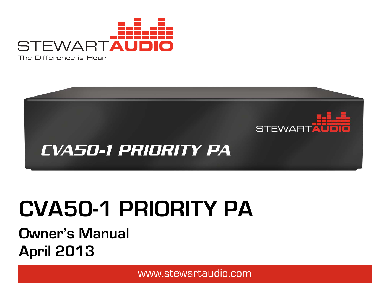



# **CVA50-1 PRIORITY PA**

# **Owner's Manual April 2013**

www.stewartaudio.com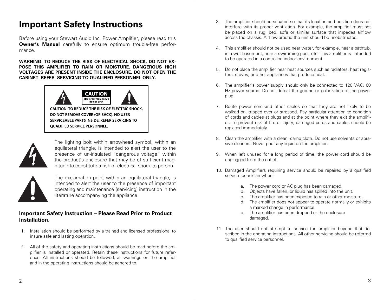## **Important Safety Instructions**

Before using your Stewart Audio Inc. Power Amplifier, please read this **Owner's Manual** carefully to ensure optimum trouble-free performance.

**WARNING: TO REDUCE THE RISK OF ELECTRICAL SHOCK, DO NOT EX-POSE THIS AMPLIFIER TO RAIN OR MOISTURE. DANGEROUS HIGH VOLTAGES ARE PRESENT INSIDE THE ENCLOSURE. DO NOT OPEN THE CABINET. REFER SERVICING TO QUALIFIED PERSONNEL ONLY.**



CAUTION: TO REDUCE THE RISK OF ELECTRIC SHOCK, DO NOT REMOVE COVER (OR BACK). NO USER-SERVICEABLE PARTS INSIDE. REFER SERVICING TO **OUALIFIED SERVICE PERSONNEL.** 



The lighting bolt within arrowhead symbol, within an equilateral triangle, is intended to alert the user to the presence of un-insulated "dangerous voltage" within the product's enclosure that may be of sufficient magnitude to constitute a risk of electrical shock to person.



The exclamation point within an equilateral triangle, is intended to alert the user to the presence of important operating and maintenance (servicing) instruction in the literature accompanying the appliance.

#### **Important Safety Instruction – Please Read Prior to Product Installation.**

- 1. Installation should be performed by a trained and licensed professional to insure safe and lasting operation.
- 2. All of the safety and operating instructions should be read before the amplifier is installed or operated. Retain these instructions for future reference. All instructions should be followed; all warnings on the amplifier and in the operating instructions should be adhered to.
- 3. The amplifier should be situated so that its location and position does not interfere with its proper ventilation. For example, the amplifier must not be placed on a rug, bed, sofa or similar surface that impedes airflow across the chassis. Airflow around the unit should be unobstructed.
- 4. This amplifier should not be used near water, for example, near a bathtub, in a wet basement, near a swimming pool, etc. This amplifier is intended to be operated in a controlled indoor environment.
- 5. Do not place the amplifier near heat sources such as radiators, heat registers, stoves, or other appliances that produce heat.
- 6. The amplifier's power supply should only be connected to 120 VAC, 60 Hz power source. Do not defeat the ground or polarization of the power plug.
- 7. Route power cord and other cables so that they are not likely to be walked on, tripped over or stressed. Pay particular attention to condition of cords and cables at plugs and at the point where they exit the amplifier. To prevent risk of fire or injury, damaged cords and cables should be replaced immediately.
- 8. Clean the amplifier with a clean, damp cloth. Do not use solvents or abrasive cleaners. Never pour any liquid on the amplifier.
- 9. When left unused for a long period of time, the power cord should be unplugged from the outlet.
- 10. Damaged Amplifiers requiring service should be repaired by a qualified service technician when:
	- a. The power cord or AC plug has been damaged.
	- b. Objects have fallen, or liquid has spilled into the unit.
	- c. The amplifier has been exposed to rain or other moisture.
	- d. The amplifier does not appear to operate normally or exhibits a marked change in performance.
	- e. The amplifier has been dropped or the enclosure damaged.
- 11. The user should not attempt to service the amplifier beyond that described in the operating instructions. All other servicing should be referred to qualified service personnel.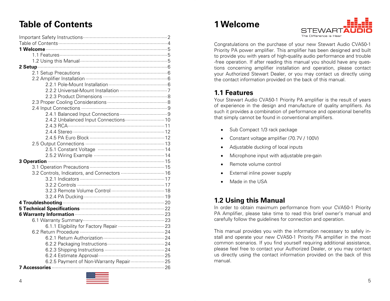## **Table of Contents**

| 2.4.2 Unbalanced Input Connections  10              |
|-----------------------------------------------------|
|                                                     |
|                                                     |
|                                                     |
|                                                     |
|                                                     |
|                                                     |
|                                                     |
|                                                     |
| 3.2 Controls, Indicators, and Connectors  16        |
|                                                     |
|                                                     |
|                                                     |
|                                                     |
|                                                     |
|                                                     |
| 6 Warranty Information <b>Martin Accommunity</b> 23 |
|                                                     |
|                                                     |
|                                                     |
|                                                     |
|                                                     |
|                                                     |
|                                                     |
| 6.2.5 Payment of Non-Warranty Repair  25            |
|                                                     |



## **1 Welcome**



Congratulations on the purchase of your new Stewart Audio CVA50-1 Priority PA power amplifier. This amplifier has been designed and built to provide you with years of high-quality audio performance and trouble -free operation. If after reading this manual you should have any questions concerning amplifier installation and operation, please contact your Authorized Stewart Dealer, or you may contact us directly using the contact information provided on the back of this manual.

## **1.1 Features**

Your Stewart Audio CVA50-1 Priority PA amplifier is the result of years of experience in the design and manufacture of quality amplifiers. As such it provides a combination of performance and operational benefits that simply cannot be found in conventional amplifiers.

- Sub Compact 1/3 rack package
- Constant voltage amplifier (70.7V / 100V)
- Adjustable ducking of local inputs
- Microphone input with adjustable pre-gain
- Remote volume control
- External inline power supply
- Made in the USA

## **1.2 Using this Manual**

In order to obtain maximum performance from your CVA50-1 Priority PA Amplifier, please take time to read this brief owner's manual and carefully follow the guidelines for connection and operation.

This manual provides you with the information necessary to safely install and operate your new CVA50-1 Priority PA amplifier in the most common scenarios. If you find yourself requiring additional assistance, please feel free to contact your Authorized Dealer, or you may contact us directly using the contact information provided on the back of this manual.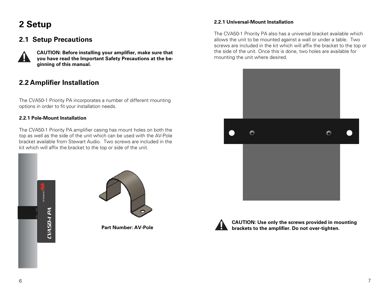## **2 Setup**

## **2.1 Setup Precautions**



**CAUTION: Before installing your amplifier, make sure that you have read the Important Safety Precautions at the beginning of this manual.** 

## **2.2 Amplifier Installation**

The CVA50-1 Priority PA incorporates a number of different mounting options in order to fit your installation needs.

#### **2.2.1 Pole-Mount Installation**

The CVA50-1 Priority PA amplifier casing has mount holes on both the top as well as the side of the unit which can be used with the AV-Pole bracket available from Stewart Audio. Two screws are included in the kit which will affix the bracket to the top or side of the unit.





**Part Number: AV-Pole** 

#### **2.2.1 Universal-Mount Installation**

The CVA50-1 Priority PA also has a universal bracket available which allows the unit to be mounted against a wall or under a table. Two screws are included in the kit which will affix the bracket to the top or the side of the unit. Once this is done, two holes are available for mounting the unit where desired.





**CAUTION: Use only the screws provided in mounting brackets to the amplifier. Do not over-tighten.**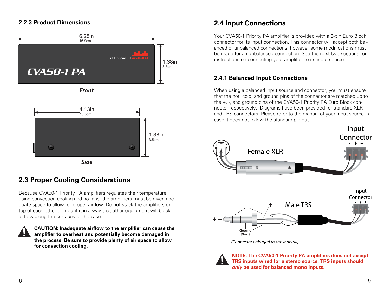#### **2.2.3 Product Dimensions**







### **2.3 Proper Cooling Considerations**

Because CVA50-1 Priority PA amplifiers regulates their temperature using convection cooling and no fans, the amplifiers must be given adequate space to allow for proper airflow. Do not stack the amplifiers on top of each other or mount it in a way that other equipment will block airflow along the surfaces of the case.

**CAUTION: Inadequate airflow to the amplifier can cause the amplifier to overheat and potentially become damaged in the process. Be sure to provide plenty of air space to allow for convection cooling.** 

#### **2.4 Input Connections**

Your CVA50-1 Priority PA amplifier is provided with a 3-pin Euro Block connector for its input connection. This connector will accept both balanced or unbalanced connections, however some modifications must be made for an unbalanced connection. See the next two sections for instructions on connecting your amplifier to its input source.

#### **2.4.1 Balanced Input Connections**

When using a balanced input source and connector, you must ensure that the hot, cold, and ground pins of the connector are matched up to the +, -, and ground pins of the CVA50-1 Priority PA Euro Block connector respectively. Diagrams have been provided for standard XLR and TRS connectors. Please refer to the manual of your input source in case it does not follow the standard pin-out.





**NOTE: The CVA50-1 Priority PA amplifiers does not accept TRS inputs wired for a stereo source. TRS inputs should only be used for balanced mono inputs.**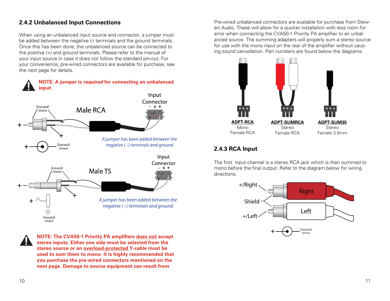#### **2.4.2 Unbalanced Input Connections**

When using an unbalanced input source and connector, a jumper must be added between the negative (-) terminals and the ground terminals. Once this has been done, the unbalanced source can be connected to the positive (+) and ground terminals. Please refer to the manual of your input source in case it does not follow the standard pin-out. For your convenience, pre-wired connectors are available for purchase, see the next page for details.



**NOTE: The CVA50-1 Priority PA amplifiers does not accept stereo inputs. Either one side must be selected from the stereo source or an overload-protected Y-cable must be used to sum them to mono. It is highly recommended that you purchase the pre-wired connectors mentioned on the next page. Damage to source equipment can result from** 

Pre-wired unbalanced connectors are available for purchase from Stewart Audio. These will allow for a quicker installation with less room for error when connecting the CVA50-1 Priority PA amplifier to an unbalanced source. The summing adapters will properly sum a stereo source for use with the mono input on the rear of the amplifier without causing sound cancellation. Part numbers are found below the diagrams.



#### **2.4.3 RCA Input**

The first input channel is a stereo RCA jack which is then summed to mono before the final output. Refer to the diagram below for wiring directions.

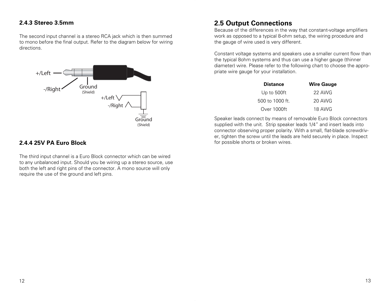#### **2.4.3 Stereo 3.5mm**

The second input channel is a stereo RCA jack which is then summed to mono before the final output. Refer to the diagram below for wiring directions.



#### **2.4.4 25V PA Euro Block**

The third input channel is a Euro Block connector which can be wired to any unbalanced input. Should you be wiring up a stereo source, use both the left and right pins of the connector. A mono source will only require the use of the ground and left pins.

### **2.5 Output Connections**

Because of the differences in the way that constant-voltage amplifiers work as opposed to a typical 8-ohm setup, the wiring procedure and the gauge of wire used is very different.

Constant voltage systems and speakers use a smaller current flow than the typical 8ohm systems and thus can use a higher gauge (thinner diameter) wire. Please refer to the following chart to choose the appropriate wire gauge for your installation.

| <b>Distance</b>   | <b>Wire Gauge</b> |
|-------------------|-------------------|
| Up to 500ft       | 22 AWG            |
| $500$ to 1000 ft. | 20 AWG            |
| Over 1000ft       | <b>18 AWG</b>     |

Speaker leads connect by means of removable Euro Block connectors supplied with the unit. Strip speaker leads 1/4" and insert leads into connector observing proper polarity. With a small, flat-blade screwdriver, tighten the screw until the leads are held securely in place. Inspect for possible shorts or broken wires.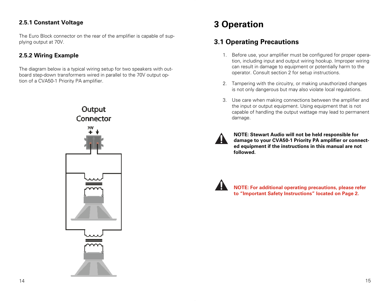#### **2.5.1 Constant Voltage**

The Euro Block connector on the rear of the amplifier is capable of supplying output at 70V.

#### **2.5.2 Wiring Example**

The diagram below is a typical wiring setup for two speakers with outboard step-down transformers wired in parallel to the 70V output option of a CVA50-1 Priority PA amplifier.



## **3 Operation**

## **3.1 Operating Precautions**

- 1. Before use, your amplifier must be configured for proper operation, including input and output wiring hookup. Improper wiring can result in damage to equipment or potentially harm to the operator. Consult section 2 for setup instructions.
- 2. Tampering with the circuitry, or making unauthorized changes is not only dangerous but may also violate local regulations.
- 3. Use care when making connections between the amplifier and the input or output equipment. Using equipment that is not capable of handling the output wattage may lead to permanent damage.
- 

**NOTE: Stewart Audio will not be held responsible for damage to your CVA50-1 Priority PA amplifier or connected equipment if the instructions in this manual are not followed.** 



**NOTE: For additional operating precautions, please refer to "Important Safety Instructions" located on Page 2.**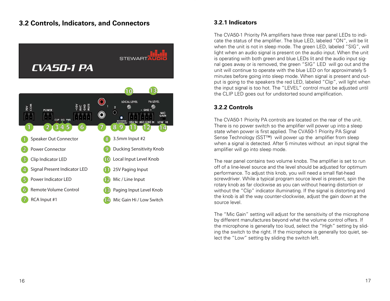#### **3.2 Controls, Indicators, and Connectors**



#### **3.2.1 Indicators**

The CVA50-1 Priority PA amplifiers have three rear panel LEDs to indicate the status of the amplifier. The blue LED, labeled "ON", will be lit when the unit is not in sleep mode. The green LED, labeled "SIG", will light when an audio signal is present on the audio input. When the unit is operating with both green and blue LEDs lit and the audio input signal goes away or is removed, the green "SIG" LED will go out and the unit will continue to operate with the blue LED on for approximately 5 minutes before going into sleep mode. When signal is present and output is going to the speakers the red LED, labeled "Clip", will light when the input signal is too hot. The "LEVEL" control must be adjusted until the CLIP LED goes out for undistorted sound amplification.

#### **3.2.2 Controls**

The CVA50-1 Priority PA controls are located on the rear of the unit. There is no power switch so the amplifier will power up into a sleep state when power is first applied. The CVA50-1 Priority PA Signal Sense Technology (SST<sup>™</sup>) will power up the amplifier from sleep when a signal is detected. After 5 minutes without an input signal the amplifier will go into sleep mode.

The rear panel contains two volume knobs. The amplifier is set to run off of a line-level source and the level should be adjusted for optimum performance. To adjust this knob, you will need a small flat-head screwdriver. While a typical program source level is present, spin the rotary knob as far clockwise as you can without hearing distortion or without the "Clip" indicator illuminating. If the signal is distorting and the knob is all the way counter-clockwise, adjust the gain down at the source level.

The "Mic Gain" setting will adjust for the sensitivity of the microphone by different manufactures beyond what the volume control offers. If the microphone is generally too loud, select the "High" setting by sliding the switch to the right. If the microphone is generally too quiet, select the "Low" setting by sliding the switch left.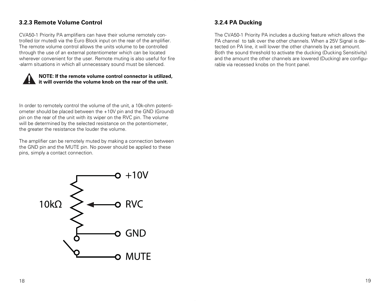#### **3.2.3 Remote Volume Control**

CVA50-1 Priority PA amplifiers can have their volume remotely controlled (or muted) via the Euro Block input on the rear of the amplifier. The remote volume control allows the units volume to be controlled through the use of an external potentiometer which can be located wherever convenient for the user. Remote muting is also useful for fire -alarm situations in which all unnecessary sound must be silenced.

#### **NOTE: If the remote volume control connector is utilized, it will override the volume knob on the rear of the unit.**

In order to remotely control the volume of the unit, a 10k-ohm potentiometer should be placed between the +10V pin and the GND (Ground) pin on the rear of the unit with its wiper on the RVC pin. The volume will be determined by the selected resistance on the potentiometer, the greater the resistance the louder the volume.

The amplifier can be remotely muted by making a connection between the GND pin and the MUTE pin. No power should be applied to these pins, simply a contact connection.

# $> +10V$  $10k\Omega$ **RVC** o GND o MUTE

#### **3.2.4 PA Ducking**

The CVA50-1 Priority PA includes a ducking feature which allows the PA channel to talk over the other channels. When a 25V Signal is detected on PA line, it will lower the other channels by a set amount. Both the sound threshold to activate the ducking (Ducking Sensitivity) and the amount the other channels are lowered (Ducking) are configurable via recessed knobs on the front panel.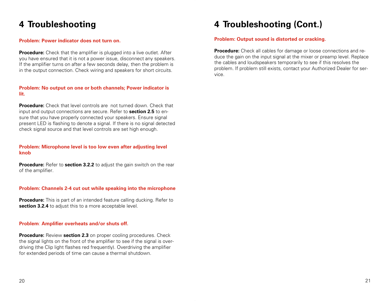## **4 Troubleshooting**

#### **Problem: Power indicator does not turn on.**

**Procedure:** Check that the amplifier is plugged into a live outlet. After you have ensured that it is not a power issue, disconnect any speakers. If the amplifier turns on after a few seconds delay, then the problem is in the output connection. Check wiring and speakers for short circuits.

#### **Problem: No output on one or both channels; Power indicator is lit.**

**Procedure:** Check that level controls are not turned down. Check that input and output connections are secure. Refer to **section 2.5** to ensure that you have properly connected your speakers. Ensure signal present LED is flashing to denote a signal. If there is no signal detected check signal source and that level controls are set high enough.

#### **Problem: Microphone level is too low even after adjusting level knob**

**Procedure:** Refer to **section 3.2.2** to adjust the gain switch on the rear of the amplifier.

#### **Problem: Channels 2-4 cut out while speaking into the microphone**

**Procedure:** This is part of an intended feature calling ducking. Refer to **section 3.2.4** to adjust this to a more acceptable level.

#### **Problem**: **Amplifier overheats and/or shuts off.**

**Procedure:** Review **section 2.3** on proper cooling procedures. Check the signal lights on the front of the amplifier to see if the signal is overdriving (the Clip light flashes red frequently). Overdriving the amplifier for extended periods of time can cause a thermal shutdown.

## **4 Troubleshooting (Cont.)**

#### **Problem: Output sound is distorted or cracking.**

**Procedure:** Check all cables for damage or loose connections and reduce the gain on the input signal at the mixer or preamp level. Replace the cables and loudspeakers temporarily to see if this resolves the problem. If problem still exists, contact your Authorized Dealer for service.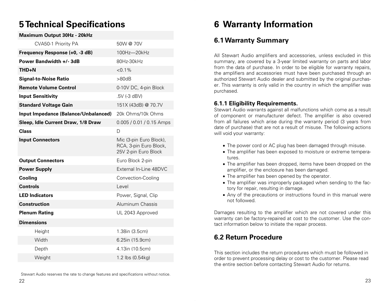## **5 Technical Specifications**

#### **Maximum Output 30Hz - 20kHz**

| CVA50-1 Priority PA                  | 50W @ 70V                                                                 |
|--------------------------------------|---------------------------------------------------------------------------|
| Frequency Response (+0, -3 dB)       | 100Hz-20kHz                                                               |
| Power Bandwidth +/-3dB               | 80Hz-30kHz                                                                |
| THD+N                                | $< 0.1\%$                                                                 |
| <b>Signal-to-Noise Ratio</b>         | >80dB                                                                     |
| <b>Remote Volume Control</b>         | 0-10V DC, 4-pin Block                                                     |
| <b>Input Sensitivity</b>             | .5V (-3 dBV)                                                              |
| <b>Standard Voltage Gain</b>         | 151X (43dB) @ 70.7V                                                       |
| Input Impedance (Balance/Unbalanced) | 20k Ohms/10k Ohms                                                         |
| Sleep, Idle Current Draw, 1/8 Draw   | 0.005 / 0.01 / 0.15 Amps                                                  |
| <b>Class</b>                         | D                                                                         |
| <b>Input Connectors</b>              | Mic (3-pin Euro Block),<br>RCA, 3-pin Euro Block,<br>25V 2-pin Euro Block |
| <b>Output Connectors</b>             | Euro Block 2-pin                                                          |
| <b>Power Supply</b>                  | External In-Line 48DVC                                                    |
| Cooling                              | Convection-Cooling                                                        |
| <b>Controls</b>                      | Level                                                                     |
| <b>LED Indicators</b>                | Power, Signal, Clip                                                       |
| <b>Construction</b>                  | Aluminum Chassis                                                          |
| <b>Plenum Rating</b>                 | UL 2043 Approved                                                          |
| <b>Dimensions</b>                    |                                                                           |
| Height                               | 1.38in (3.5cm)                                                            |
| Width                                | 6.25in (15.9cm)                                                           |
| Depth                                | 4.13in (10.5cm)                                                           |
| Weight                               | 1.2 lbs (0.54kg)                                                          |
|                                      |                                                                           |

Stewart Audio reserves the rate to change features and specifications without notice.

## **6 Warranty Information**

### **6.1 Warranty Summary**

All Stewart Audio amplifiers and accessories, unless excluded in this summary, are covered by a 3-year limited warranty on parts and labor from the data of purchase. In order to be eligible for warranty repairs, the amplifiers and accessories must have been purchased through an authorized Stewart Audio dealer and submitted by the original purchaser. This warranty is only valid in the country in which the amplifier was purchased.

#### **6.1.1 Eligibility Requirements.**

Stewart Audio warrants against all malfunctions which come as a result of component or manufacturer defect. The amplifier is also covered from all failures which arise during the warranty period (3 years from date of purchase) that are not a result of misuse. The following actions will void your warranty:

- The power cord or AC plug has been damaged through misuse.
- The amplifier has been exposed to moisture or extreme temperatures.
- The amplifier has been dropped, items have been dropped on the amplifier, or the enclosure has been damaged.
- The amplifier has been opened by the operator.
- The amplifier was improperly packaged when sending to the factory for repair, resulting in damage.
- Any of the precautions or instructions found in this manual were not followed.

Damages resulting to the amplifier which are not covered under this warranty can be factory-repaired at cost to the customer. Use the contact information below to initiate the repair process.

## **6.2 Return Procedure**

This section includes the return procedures which must be followed in order to prevent processing delay or cost to the customer. Please read the entire section before contacting Stewart Audio for returns.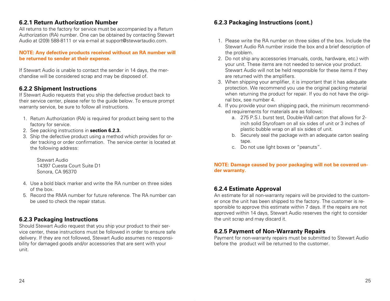#### **6.2.1 Return Authorization Number**

All returns to the factory for service must be accompanied by a Return Authorization (RA) number. One can be obtained by contacting Stewart Audio at (209) 588-8111 or via e-mail at support@stewartaudio.com.

#### **NOTE: Any defective products received without an RA number will be returned to sender at their expense.**

If Stewart Audio is unable to contact the sender in 14 days, the merchandise will be considered scrap and may be disposed of.

#### **6.2.2 Shipment Instructions**

If Stewart Audio requests that you ship the defective product back to their service center, please refer to the guide below. To ensure prompt warranty service, be sure to follow all instructions.

- 1. Return Authorization (RA) is required for product being sent to the factory for service.
- 2. See packing instructions in **section 6.2.3.**
- 3. Ship the defective product using a method which provides for order tracking or order confirmation. The service center is located at the following address:

Stewart Audio 14397 Cuesta Court Suite D1 Sonora, CA 95370

- 4. Use a bold black marker and write the RA number on three sides of the box.
- 5. Record the RMA number for future reference. The RA number can be used to check the repair status.

#### **6.2.3 Packaging Instructions**

Should Stewart Audio request that you ship your product to their service center, these instructions must be followed in order to ensure safe delivery. If they are not followed, Stewart Audio assumes no responsibility for damaged goods and/or accessories that are sent with your unit.

#### **6.2.3 Packaging Instructions (cont.)**

- 1. Please write the RA number on three sides of the box. Include the Stewart Audio RA number inside the box and a brief description of the problem.
- 2. Do not ship any accessories (manuals, cords, hardware, etc.) with your unit. These items are not needed to service your product. Stewart Audio will not be held responsible for these items if they are returned with the amplifiers.
- 3. When shipping your amplifier, it is important that it has adequate protection. We recommend you use the original packing material when returning the product for repair. If you do not have the original box, see number 4.
- 4. If you provide your own shipping pack, the minimum recommended requirements for materials are as follows:
	- a. 275 P.S.I. burst test, Double-Wall carton that allows for 2 inch solid Styrofoam on all six sides of unit or 3 inches of plastic bubble wrap on all six sides of unit.
	- b. Securely seal the package with an adequate carton sealing tape.
	- c. Do not use light boxes or "peanuts".

#### **NOTE: Damage caused by poor packaging will not be covered under warranty.**

#### **6.2.4 Estimate Approval**

An estimate for all non-warranty repairs will be provided to the customer once the unit has been shipped to the factory. The customer is responsible to approve this estimate within 7 days. If the repairs are not approved within 14 days, Stewart Audio reserves the right to consider the unit scrap and may discard it.

#### **6.2.5 Payment of Non-Warranty Repairs**

Payment for non-warranty repairs must be submitted to Stewart Audio before the product will be returned to the customer.